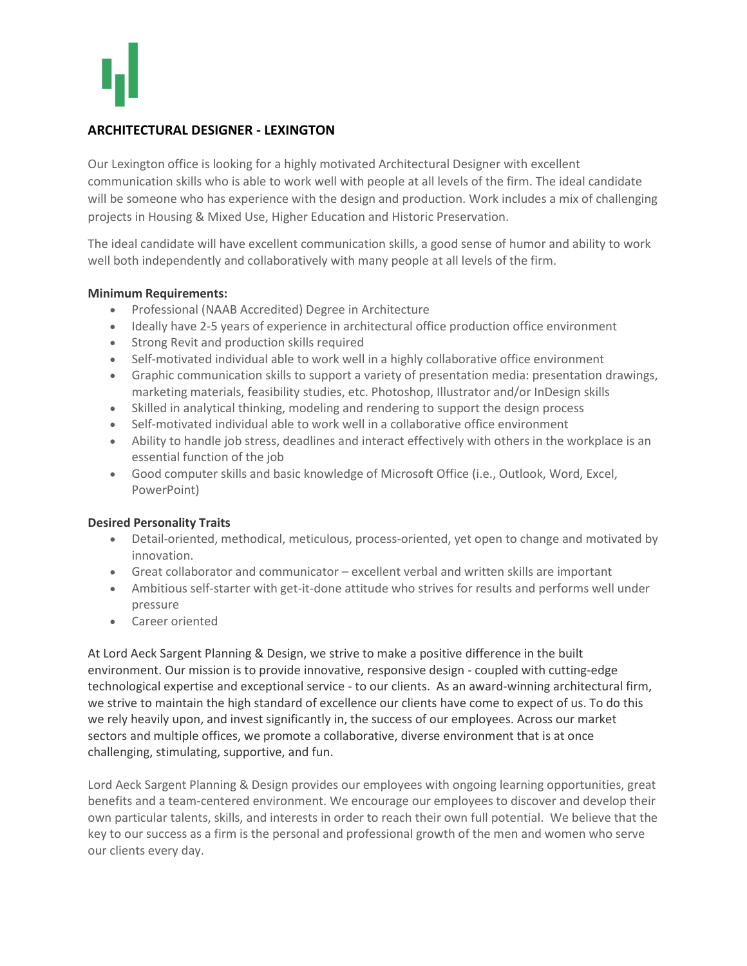# **ARCHITECTURAL DESIGNER - LEXINGTON**

Our Lexington office is looking for a highly motivated Architectural Designer with excellent communication skills who is able to work well with people at all levels of the firm. The ideal candidate will be someone who has experience with the design and production. Work includes a mix of challenging projects in Housing & Mixed Use, Higher Education and Historic Preservation.

The ideal candidate will have excellent communication skills, a good sense of humor and ability to work well both independently and collaboratively with many people at all levels of the firm.

### **Minimum Requirements:**

- Professional (NAAB Accredited) Degree in Architecture
- Ideally have 2-5 years of experience in architectural office production office environment
- Strong Revit and production skills required
- Self-motivated individual able to work well in a highly collaborative office environment
- Graphic communication skills to support a variety of presentation media: presentation drawings, marketing materials, feasibility studies, etc. Photoshop, Illustrator and/or InDesign skills
- Skilled in analytical thinking, modeling and rendering to support the design process
- Self-motivated individual able to work well in a collaborative office environment
- Ability to handle job stress, deadlines and interact effectively with others in the workplace is an essential function of the job
- Good computer skills and basic knowledge of Microsoft Office (i.e., Outlook, Word, Excel, PowerPoint)

### **Desired Personality Traits**

- Detail-oriented, methodical, meticulous, process-oriented, yet open to change and motivated by innovation.
- Great collaborator and communicator excellent verbal and written skills are important
- Ambitious self-starter with get-it-done attitude who strives for results and performs well under pressure
- Career oriented

At Lord Aeck Sargent Planning & Design, we strive to make a positive difference in the built environment. Our mission is to provide innovative, responsive design - coupled with cutting-edge technological expertise and exceptional service - to our clients. As an award-winning architectural firm, we strive to maintain the high standard of excellence our clients have come to expect of us. To do this we rely heavily upon, and invest significantly in, the success of our employees. Across our market sectors and multiple offices, we promote a collaborative, diverse environment that is at once challenging, stimulating, supportive, and fun.

Lord Aeck Sargent Planning & Design provides our employees with ongoing learning opportunities, great benefits and a team-centered environment. We encourage our employees to discover and develop their own particular talents, skills, and interests in order to reach their own full potential. We believe that the key to our success as a firm is the personal and professional growth of the men and women who serve our clients every day.